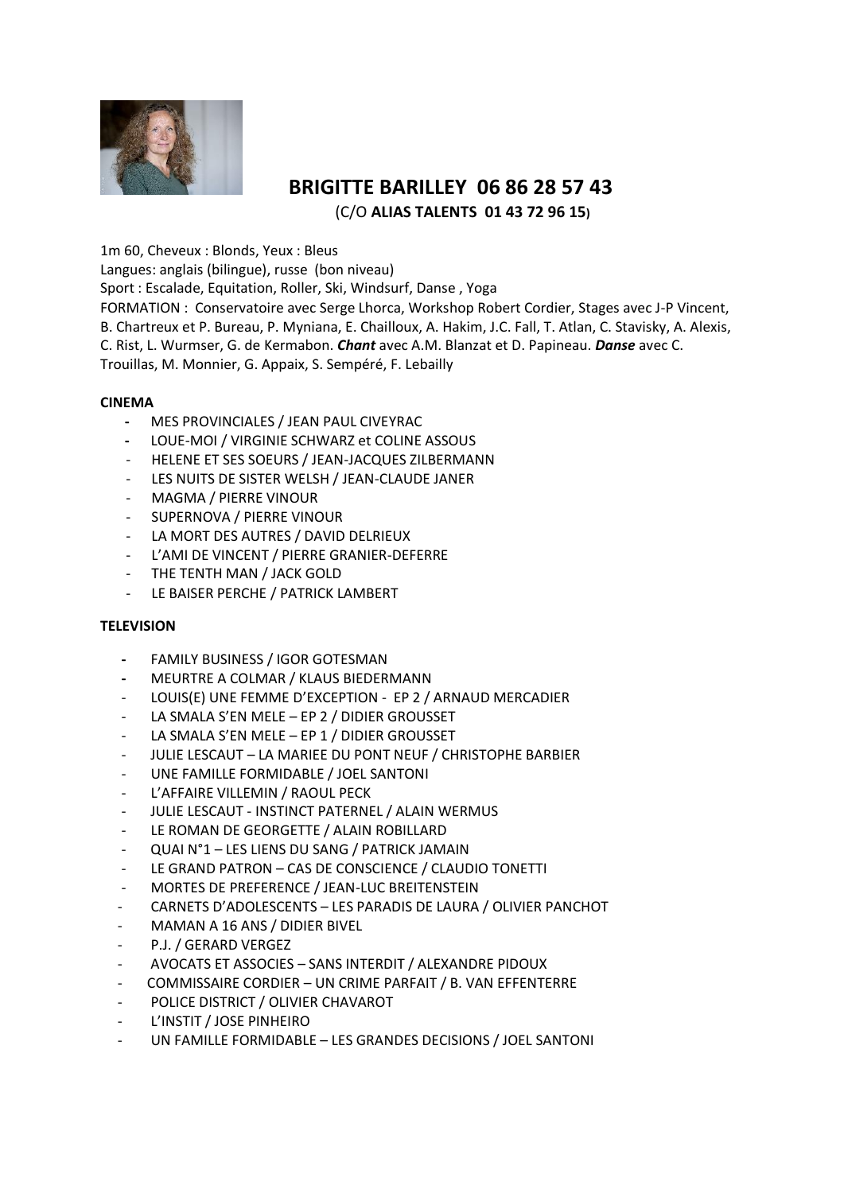

# **BRIGITTE BARILLEY 06 86 28 57 43** (C/O **ALIAS TALENTS 01 43 72 96 15)**

1m 60, Cheveux : Blonds, Yeux : Bleus

Langues: anglais (bilingue), russe (bon niveau)

Sport : Escalade, Equitation, Roller, Ski, Windsurf, Danse , Yoga

FORMATION : Conservatoire avec Serge Lhorca, Workshop Robert Cordier, Stages avec J-P Vincent, B. Chartreux et P. Bureau, P. Myniana, E. Chailloux, A. Hakim, J.C. Fall, T. Atlan, C. Stavisky, A. Alexis, C. Rist, L. Wurmser, G. de Kermabon. *Chant* avec A.M. Blanzat et D. Papineau. *Danse* avec C. Trouillas, M. Monnier, G. Appaix, S. Sempéré, F. Lebailly

## **CINEMA**

- MES PROVINCIALES / JEAN PAUL CIVEYRAC
- LOUE-MOI / VIRGINIE SCHWARZ et COLINE ASSOUS
- HELENE ET SES SOEURS / JEAN-JACQUES ZILBERMANN
- LES NUITS DE SISTER WELSH / JEAN-CLAUDE JANER
- MAGMA / PIERRE VINOUR
- SUPERNOVA / PIERRE VINOUR
- LA MORT DES AUTRES / DAVID DELRIEUX
- L'AMI DE VINCENT / PIERRE GRANIER-DEFERRE
- THE TENTH MAN / JACK GOLD
- LE BAISER PERCHE / PATRICK LAMBERT

## **TELEVISION**

- **FAMILY BUSINESS / IGOR GOTESMAN**
- **MEURTRE A COLMAR / KLAUS BIEDERMANN**
- LOUIS(E) UNE FEMME D'EXCEPTION EP 2 / ARNAUD MERCADIER
- LA SMALA S'EN MELE EP 2 / DIDIER GROUSSET
- LA SMALA S'EN MELE EP 1 / DIDIER GROUSSET
- JULIE LESCAUT LA MARIEE DU PONT NEUF / CHRISTOPHE BARBIER
- UNE FAMILLE FORMIDABLE / JOEL SANTONI
- L'AFFAIRE VILLEMIN / RAOUL PECK
- JULIE LESCAUT INSTINCT PATERNEL / ALAIN WERMUS
- LE ROMAN DE GEORGETTE / ALAIN ROBILLARD
- QUAI N°1 LES LIENS DU SANG / PATRICK JAMAIN
- LE GRAND PATRON CAS DE CONSCIENCE / CLAUDIO TONETTI
- MORTES DE PREFERENCE / JEAN-LUC BREITENSTEIN
- CARNETS D'ADOLESCENTS LES PARADIS DE LAURA / OLIVIER PANCHOT
- MAMAN A 16 ANS / DIDIER BIVEL
- P.J. / GERARD VERGEZ
- AVOCATS ET ASSOCIES SANS INTERDIT / ALEXANDRE PIDOUX
- COMMISSAIRE CORDIER UN CRIME PARFAIT / B. VAN EFFENTERRE
- POLICE DISTRICT / OLIVIER CHAVAROT
- L'INSTIT / JOSE PINHEIRO
- UN FAMILLE FORMIDABLE LES GRANDES DECISIONS / JOEL SANTONI